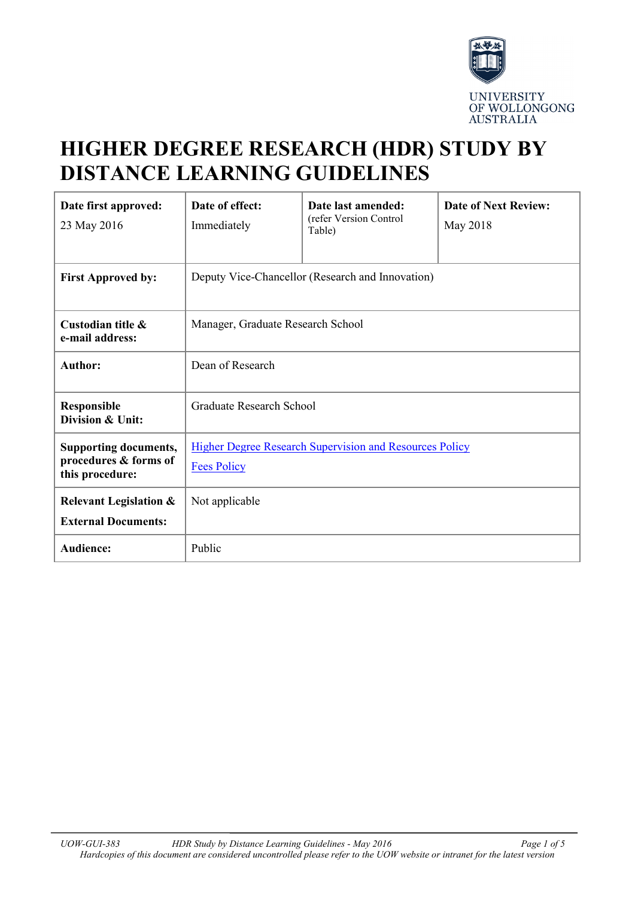

# **HIGHER DEGREE RESEARCH (HDR) STUDY BY DISTANCE LEARNING GUIDELINES**

| Date first approved:<br>23 May 2016                                      | Date of effect:<br>Immediately                                                       | Date last amended:<br>(refer Version Control<br>Table) | <b>Date of Next Review:</b><br>May 2018 |
|--------------------------------------------------------------------------|--------------------------------------------------------------------------------------|--------------------------------------------------------|-----------------------------------------|
| <b>First Approved by:</b>                                                | Deputy Vice-Chancellor (Research and Innovation)                                     |                                                        |                                         |
| Custodian title &<br>e-mail address:                                     | Manager, Graduate Research School                                                    |                                                        |                                         |
| <b>Author:</b>                                                           | Dean of Research                                                                     |                                                        |                                         |
| <b>Responsible</b><br>Division & Unit:                                   | Graduate Research School                                                             |                                                        |                                         |
| <b>Supporting documents,</b><br>procedures & forms of<br>this procedure: | <b>Higher Degree Research Supervision and Resources Policy</b><br><b>Fees Policy</b> |                                                        |                                         |
| <b>Relevant Legislation &amp;</b><br><b>External Documents:</b>          | Not applicable                                                                       |                                                        |                                         |
| <b>Audience:</b>                                                         | Public                                                                               |                                                        |                                         |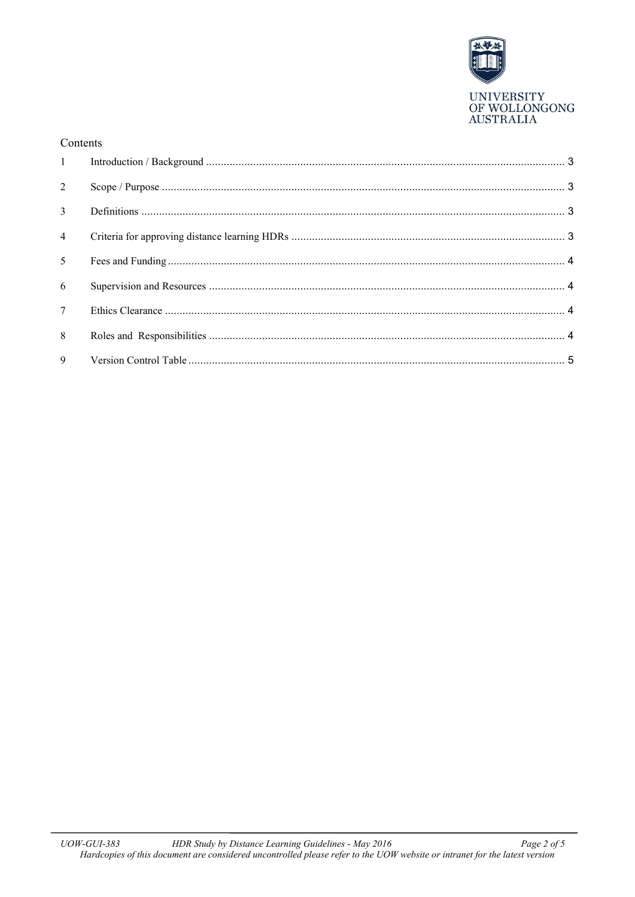

#### Contents

| $\overline{2}$  |  |
|-----------------|--|
|                 |  |
| $\overline{4}$  |  |
| 5 <sup>5</sup>  |  |
| 6               |  |
| $7\overline{ }$ |  |
| 8               |  |
| 9 <sub>o</sub>  |  |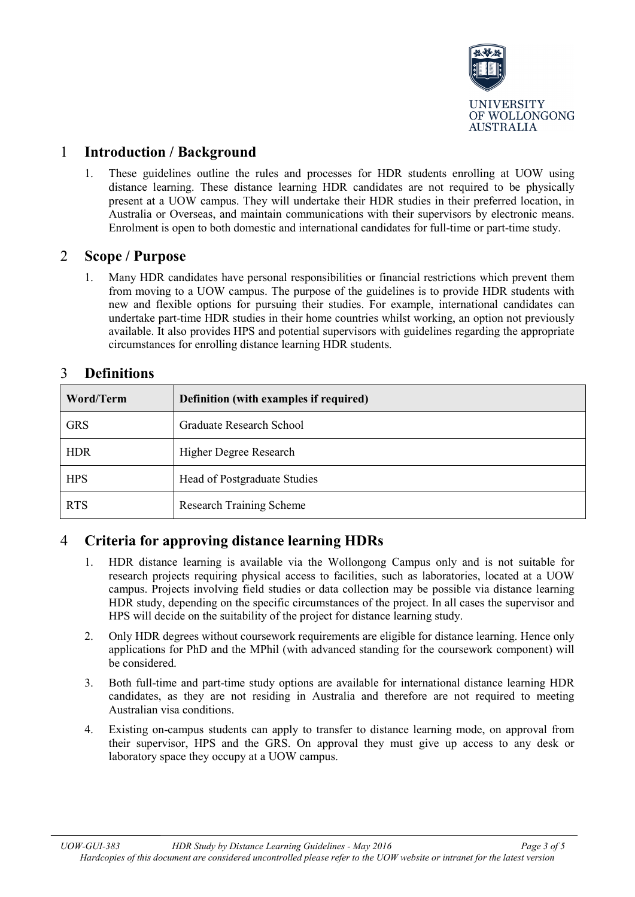

### <span id="page-2-0"></span>1 **Introduction / Background**

1. These guidelines outline the rules and processes for HDR students enrolling at UOW using distance learning. These distance learning HDR candidates are not required to be physically present at a UOW campus. They will undertake their HDR studies in their preferred location, in Australia or Overseas, and maintain communications with their supervisors by electronic means. Enrolment is open to both domestic and international candidates for full-time or part-time study.

#### <span id="page-2-1"></span>2 **Scope / Purpose**

1. Many HDR candidates have personal responsibilities or financial restrictions which prevent them from moving to a UOW campus. The purpose of the guidelines is to provide HDR students with new and flexible options for pursuing their studies. For example, international candidates can undertake part-time HDR studies in their home countries whilst working, an option not previously available. It also provides HPS and potential supervisors with guidelines regarding the appropriate circumstances for enrolling distance learning HDR students.

| Word/Term  | Definition (with examples if required) |  |
|------------|----------------------------------------|--|
| <b>GRS</b> | Graduate Research School               |  |
| <b>HDR</b> | Higher Degree Research                 |  |
| <b>HPS</b> | Head of Postgraduate Studies           |  |
| <b>RTS</b> | <b>Research Training Scheme</b>        |  |

#### <span id="page-2-2"></span>3 **Definitions**

## <span id="page-2-3"></span>4 **Criteria for approving distance learning HDRs**

- 1. HDR distance learning is available via the Wollongong Campus only and is not suitable for research projects requiring physical access to facilities, such as laboratories, located at a UOW campus. Projects involving field studies or data collection may be possible via distance learning HDR study, depending on the specific circumstances of the project. In all cases the supervisor and HPS will decide on the suitability of the project for distance learning study.
- 2. Only HDR degrees without coursework requirements are eligible for distance learning. Hence only applications for PhD and the MPhil (with advanced standing for the coursework component) will be considered.
- 3. Both full-time and part-time study options are available for international distance learning HDR candidates, as they are not residing in Australia and therefore are not required to meeting Australian visa conditions.
- 4. Existing on-campus students can apply to transfer to distance learning mode, on approval from their supervisor, HPS and the GRS. On approval they must give up access to any desk or laboratory space they occupy at a UOW campus.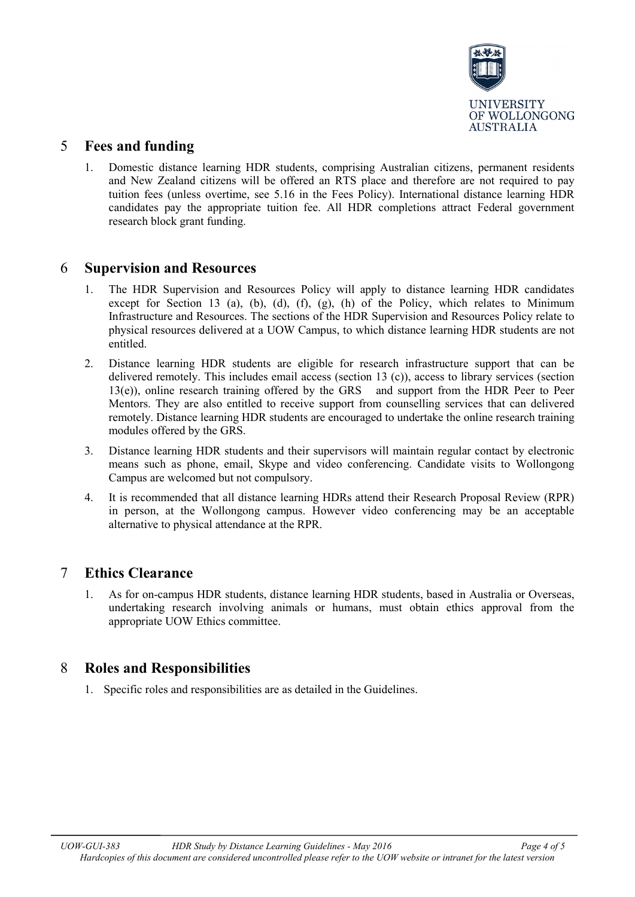

#### <span id="page-3-0"></span>5 **Fees and funding**

1. Domestic distance learning HDR students, comprising Australian citizens, permanent residents and New Zealand citizens will be offered an RTS place and therefore are not required to pay tuition fees (unless overtime, see 5.16 in the Fees Policy). International distance learning HDR candidates pay the appropriate tuition fee. All HDR completions attract Federal government research block grant funding.

#### <span id="page-3-1"></span>6 **Supervision and Resources**

- 1. The HDR Supervision and Resources Policy will apply to distance learning HDR candidates except for Section 13 (a), (b), (d), (f), (g), (h) of the Policy, which relates to Minimum Infrastructure and Resources. The sections of the HDR Supervision and Resources Policy relate to physical resources delivered at a UOW Campus, to which distance learning HDR students are not entitled.
- 2. Distance learning HDR students are eligible for research infrastructure support that can be delivered remotely. This includes email access (section 13 (c)), access to library services (section 13(e)), online research training offered by the GRS and support from the HDR Peer to Peer Mentors. They are also entitled to receive support from counselling services that can delivered remotely. Distance learning HDR students are encouraged to undertake the online research training modules offered by the GRS.
- 3. Distance learning HDR students and their supervisors will maintain regular contact by electronic means such as phone, email, Skype and video conferencing. Candidate visits to Wollongong Campus are welcomed but not compulsory.
- 4. It is recommended that all distance learning HDRs attend their Research Proposal Review (RPR) in person, at the Wollongong campus. However video conferencing may be an acceptable alternative to physical attendance at the RPR.

#### <span id="page-3-2"></span>7 **Ethics Clearance**

1. As for on-campus HDR students, distance learning HDR students, based in Australia or Overseas, undertaking research involving animals or humans, must obtain ethics approval from the appropriate UOW Ethics committee.

#### <span id="page-3-3"></span>8 **Roles and Responsibilities**

1. Specific roles and responsibilities are as detailed in the Guidelines.